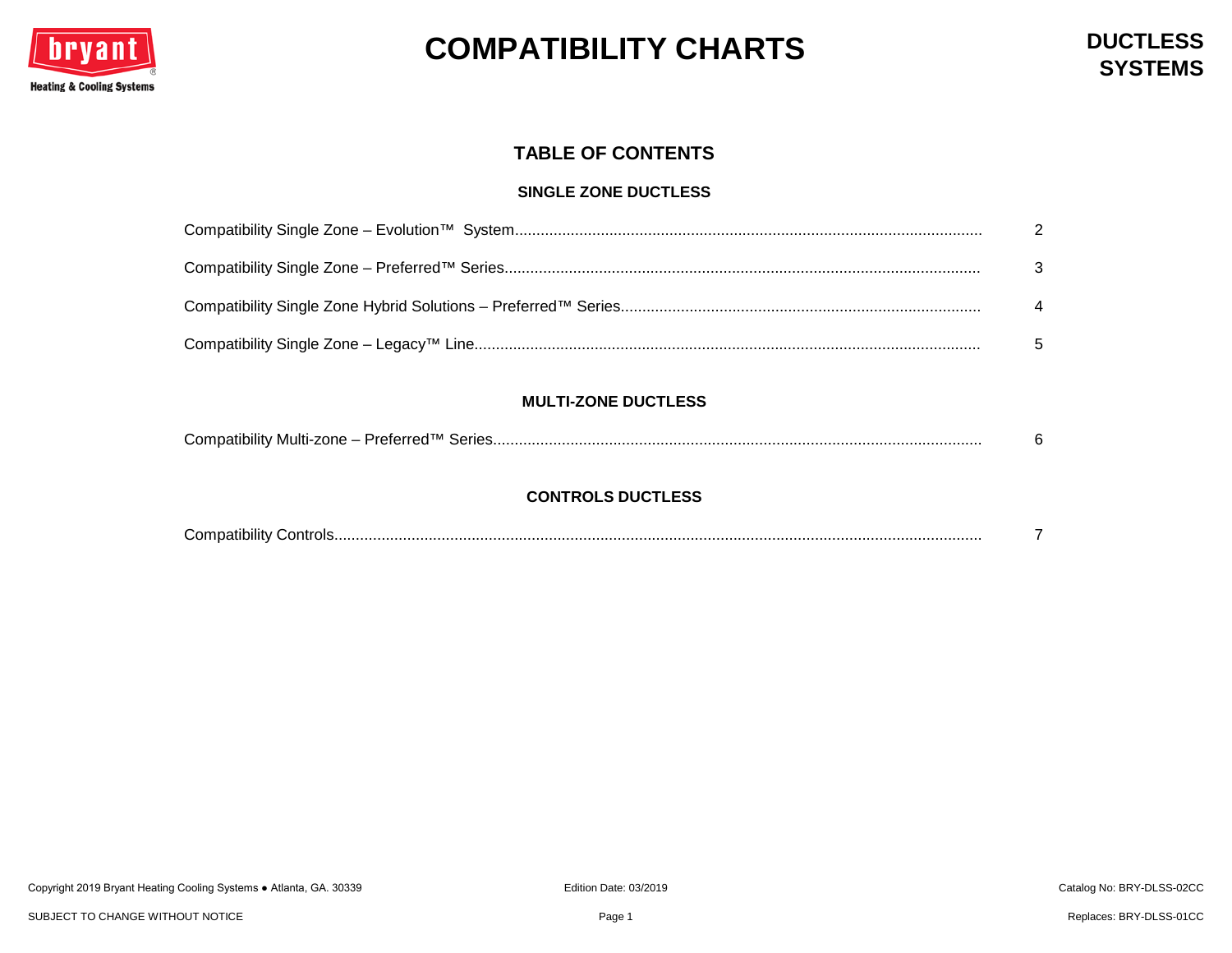

### **TABLE OF CONTENTS**

#### **SINGLE ZONE DUCTLESS**

#### **MULTI-ZONE DUCTLESS**

| Compatibility Multi-zone – Preferred™ Series. |  |
|-----------------------------------------------|--|
|-----------------------------------------------|--|

#### **CONTROLS DUCTLESS**

| $\sim$                     |  |
|----------------------------|--|
| Compatibility<br>∴ontrois. |  |
|                            |  |
|                            |  |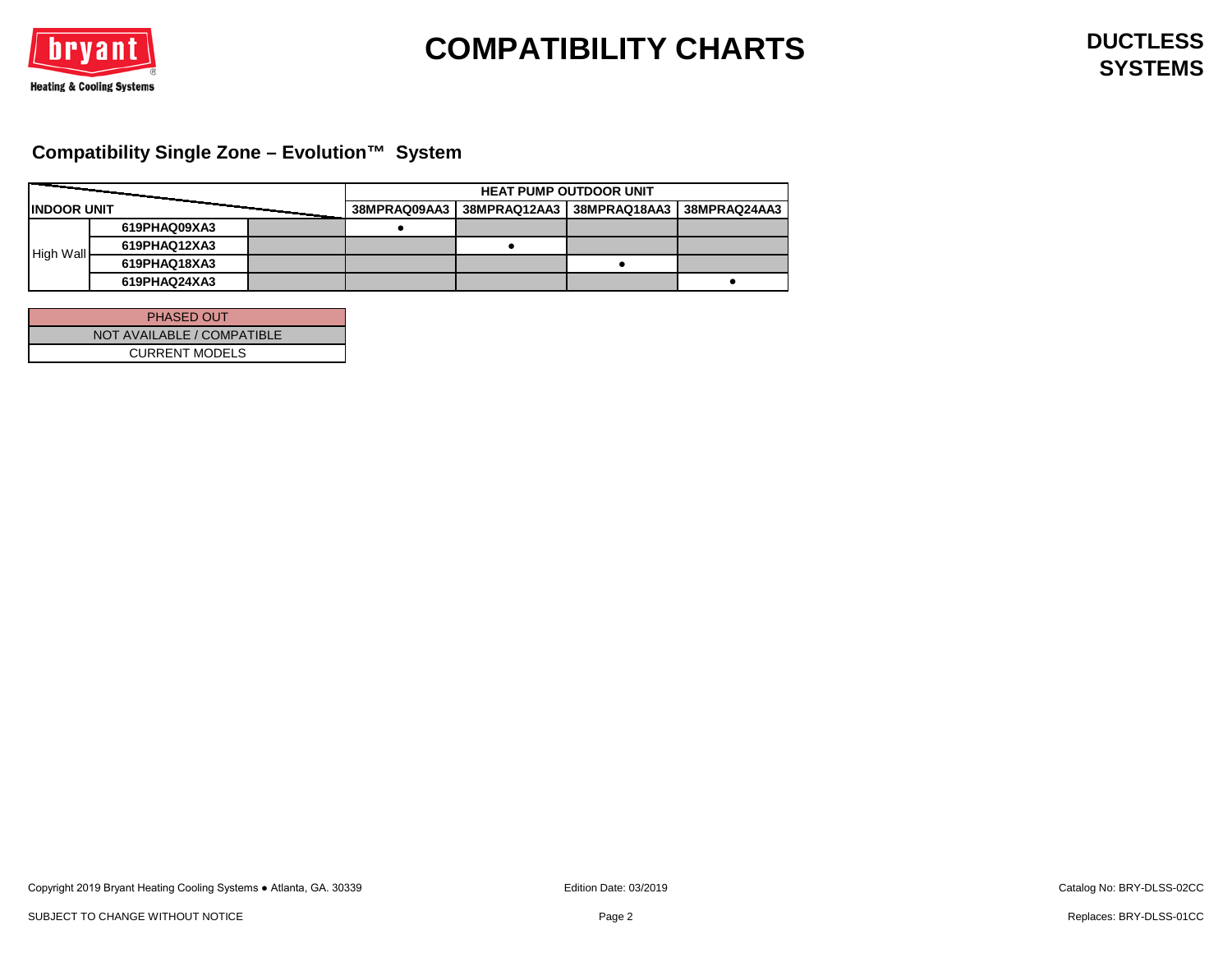

## <span id="page-1-0"></span>**Compatibility Single Zone – Evolution™ System**

|                     |              | <b>HEAT PUMP OUTDOOR UNIT</b> |  |                           |              |  |
|---------------------|--------------|-------------------------------|--|---------------------------|--------------|--|
| <b>IINDOOR UNIT</b> |              | 38MPRAQ09AA3                  |  | 38MPRAQ12AA3 38MPRAQ18AA3 | 38MPRAQ24AA3 |  |
|                     | 619PHAQ09XA3 |                               |  |                           |              |  |
|                     | 619PHAQ12XA3 |                               |  |                           |              |  |
| High Wall           | 619PHAQ18XA3 |                               |  |                           |              |  |
|                     | 619PHAQ24XA3 |                               |  |                           |              |  |

| <b>PHASED OUT</b>          |
|----------------------------|
| NOT AVAILABLE / COMPATIBLE |
| <b>CURRENT MODELS</b>      |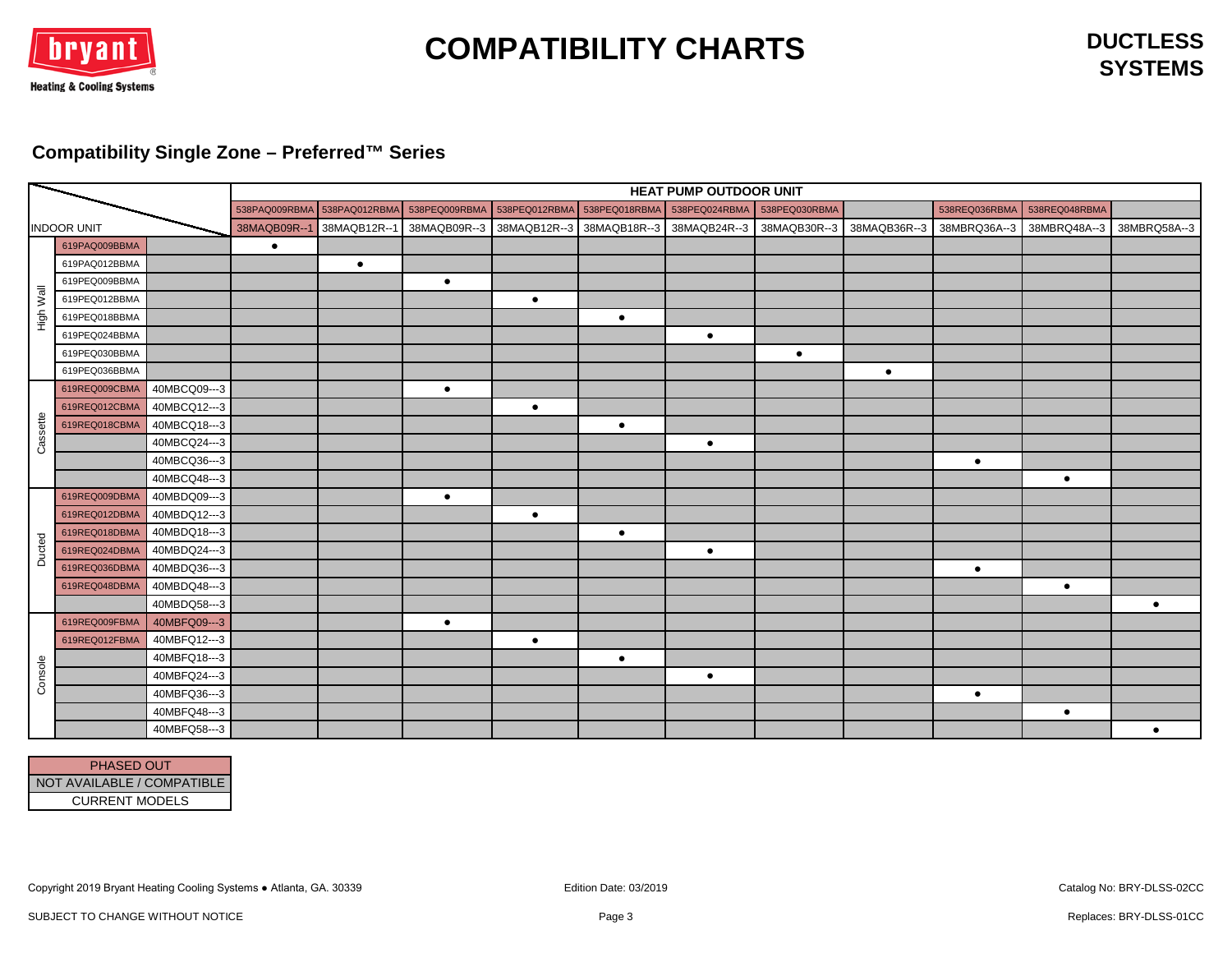

**SYSTEMS**

## <span id="page-2-0"></span>**Compatibility Single Zone – Preferred™ Series**

|                    |               |              | HEAT PUMP OUTDOOR UNIT |              |                             |                             |           |                                        |               |              |               |               |           |
|--------------------|---------------|--------------|------------------------|--------------|-----------------------------|-----------------------------|-----------|----------------------------------------|---------------|--------------|---------------|---------------|-----------|
|                    |               |              | 538PAQ009RBMA          |              | 538PAQ012RBMA 538PEQ009RBMA | 538PEQ012RBMA 538PEQ018RBMA |           | 538PEQ024RBMA                          | 538PEQ030RBMA |              | 538REQ036RBMA | 538REQ048RBMA |           |
| <b>INDOOR UNIT</b> |               | 38MAQB09R--1 | 38MAQB12R--            | 38MAQB09R--3 | 38MAQB12R--3 38MAQB18R--3   |                             |           | 38MAQB24R--3 38MAQB30R--3 38MAQB36R--3 |               | 38MBRQ36A--3 | 38MBRQ48A--3  | 38MBRQ58A--3  |           |
|                    | 619PAQ009BBMA |              | $\bullet$              |              |                             |                             |           |                                        |               |              |               |               |           |
|                    | 619PAQ012BBMA |              |                        | $\bullet$    |                             |                             |           |                                        |               |              |               |               |           |
|                    | 619PEQ009BBMA |              |                        |              | $\bullet$                   |                             |           |                                        |               |              |               |               |           |
| High Wall          | 619PEQ012BBMA |              |                        |              |                             | $\bullet$                   |           |                                        |               |              |               |               |           |
|                    | 619PEQ018BBMA |              |                        |              |                             |                             | $\bullet$ |                                        |               |              |               |               |           |
|                    | 619PEQ024BBMA |              |                        |              |                             |                             |           | $\bullet$                              |               |              |               |               |           |
|                    | 619PEQ030BBMA |              |                        |              |                             |                             |           |                                        | $\bullet$     |              |               |               |           |
|                    | 619PEQ036BBMA |              |                        |              |                             |                             |           |                                        |               | $\bullet$    |               |               |           |
|                    | 619REQ009CBMA | 40MBCQ09---3 |                        |              | $\bullet$                   |                             |           |                                        |               |              |               |               |           |
|                    | 619REQ012CBMA | 40MBCQ12---3 |                        |              |                             | $\bullet$                   |           |                                        |               |              |               |               |           |
| Cassette           | 619REQ018CBMA | 40MBCQ18---3 |                        |              |                             |                             | $\bullet$ |                                        |               |              |               |               |           |
|                    |               | 40MBCQ24---3 |                        |              |                             |                             |           | $\bullet$                              |               |              |               |               |           |
|                    |               | 40MBCQ36---3 |                        |              |                             |                             |           |                                        |               |              | $\bullet$     |               |           |
|                    |               | 40MBCQ48---3 |                        |              |                             |                             |           |                                        |               |              |               | $\bullet$     |           |
|                    | 619REQ009DBMA | 40MBDQ09---3 |                        |              | $\bullet$                   |                             |           |                                        |               |              |               |               |           |
|                    | 619REQ012DBMA | 40MBDQ12---3 |                        |              |                             | $\bullet$                   |           |                                        |               |              |               |               |           |
|                    | 619REQ018DBMA | 40MBDQ18---3 |                        |              |                             |                             | $\bullet$ |                                        |               |              |               |               |           |
| Ducted             | 619REQ024DBMA | 40MBDQ24---3 |                        |              |                             |                             |           | $\bullet$                              |               |              |               |               |           |
|                    | 619REQ036DBMA | 40MBDQ36---3 |                        |              |                             |                             |           |                                        |               |              | $\bullet$     |               |           |
|                    | 619REQ048DBMA | 40MBDQ48---3 |                        |              |                             |                             |           |                                        |               |              |               | $\bullet$     |           |
|                    |               | 40MBDQ58---3 |                        |              |                             |                             |           |                                        |               |              |               |               | $\bullet$ |
|                    | 619REQ009FBMA | 40MBFQ09---3 |                        |              | $\bullet$                   |                             |           |                                        |               |              |               |               |           |
|                    | 619REQ012FBMA | 40MBFQ12---3 |                        |              |                             | $\bullet$                   |           |                                        |               |              |               |               |           |
|                    |               | 40MBFQ18---3 |                        |              |                             |                             | $\bullet$ |                                        |               |              |               |               |           |
| Console            |               | 40MBFQ24---3 |                        |              |                             |                             |           | $\bullet$                              |               |              |               |               |           |
|                    |               | 40MBFQ36---3 |                        |              |                             |                             |           |                                        |               |              | $\bullet$     |               |           |
|                    |               | 40MBFQ48---3 |                        |              |                             |                             |           |                                        |               |              |               | $\bullet$     |           |
|                    |               | 40MBFQ58---3 |                        |              |                             |                             |           |                                        |               |              |               |               | $\bullet$ |

| <b>PHASED OUT</b>          |
|----------------------------|
|                            |
| NOT AVAILABLE / COMPATIBLE |
| <b>CURRENT MODELS</b>      |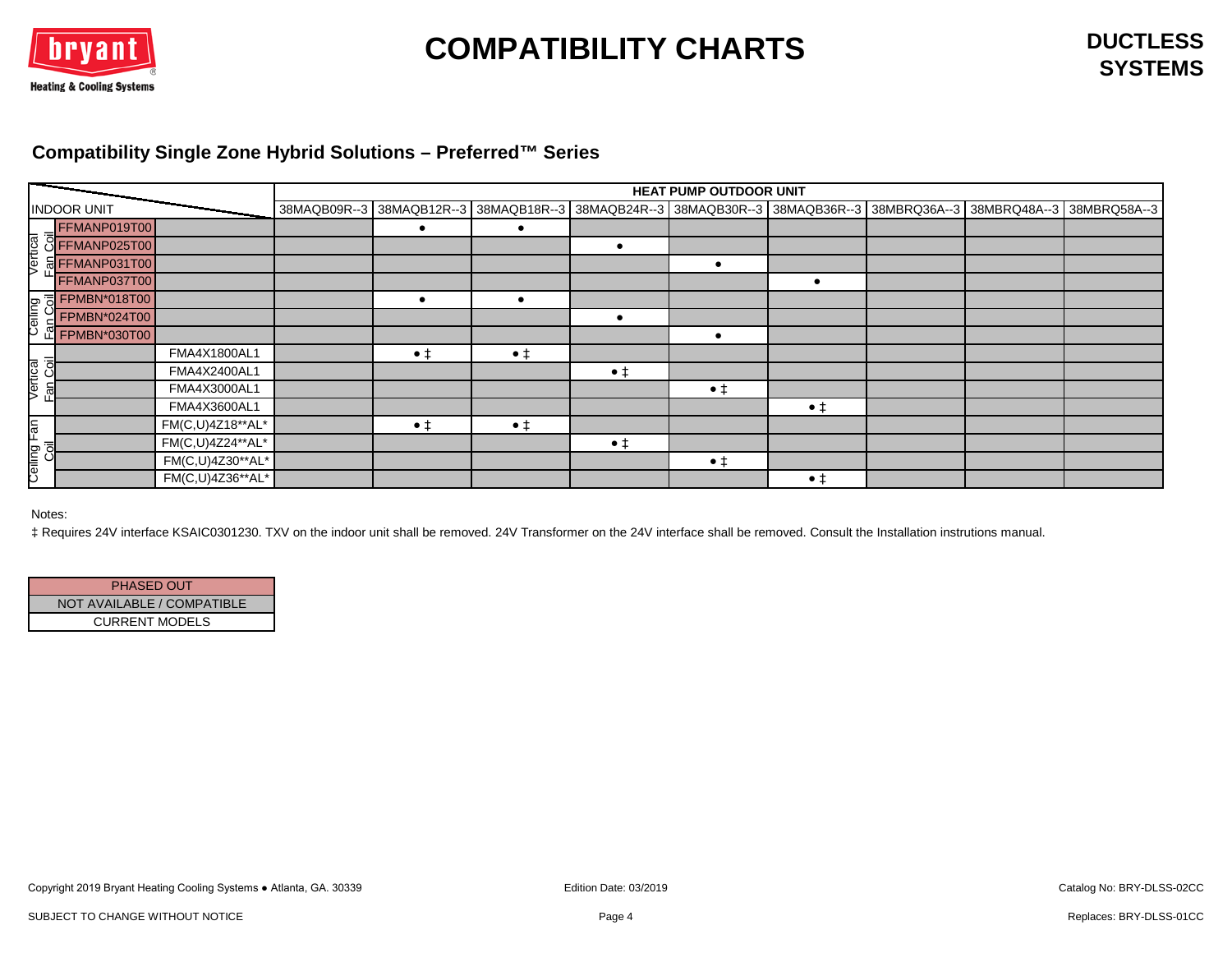

### <span id="page-3-0"></span>**Compatibility Single Zone Hybrid Solutions – Preferred™ Series**

|                              |              |                  | HEAT PUMP OUTDOOR UNIT |                |             |             |             |             |  |                                                                                                                      |  |  |
|------------------------------|--------------|------------------|------------------------|----------------|-------------|-------------|-------------|-------------|--|----------------------------------------------------------------------------------------------------------------------|--|--|
| <b>INDOOR UNIT</b>           |              |                  |                        |                |             |             |             |             |  | 38MAQB09R--3 38MAQB12R--3 38MAQB18R--3 38MAQB24R--3 38MAQB30R--3 38MAQB36R--3 38MBRQ36A--3 38MBRQ48A--3 38MBRQ58A--3 |  |  |
|                              |              |                  |                        |                |             |             |             |             |  |                                                                                                                      |  |  |
|                              |              |                  |                        |                |             |             |             |             |  |                                                                                                                      |  |  |
|                              |              |                  |                        |                |             |             |             |             |  |                                                                                                                      |  |  |
|                              | FFMANP037T00 |                  |                        |                |             |             |             |             |  |                                                                                                                      |  |  |
|                              |              |                  |                        |                | $\bullet$   |             |             |             |  |                                                                                                                      |  |  |
|                              |              |                  |                        |                |             |             |             |             |  |                                                                                                                      |  |  |
|                              | EPMBN*030T00 |                  |                        |                |             |             |             |             |  |                                                                                                                      |  |  |
|                              |              | FMA4X1800AL1     |                        | • <sup>†</sup> | $\bullet$ ‡ |             |             |             |  |                                                                                                                      |  |  |
| Vertical<br><u>Fan Coi</u> l |              | FMA4X2400AL1     |                        |                |             | $\bullet$ ‡ |             |             |  |                                                                                                                      |  |  |
|                              |              | FMA4X3000AL1     |                        |                |             |             | $\bullet$ ‡ |             |  |                                                                                                                      |  |  |
|                              |              | FMA4X3600AL1     |                        |                |             |             |             | $\bullet$ ‡ |  |                                                                                                                      |  |  |
|                              |              | FM(C,U)4Z18**AL* |                        | $\bullet$ ‡    | $\bullet$ ‡ |             |             |             |  |                                                                                                                      |  |  |
| Ceiling Fan<br>Coil          |              | FM(C,U)4Z24**AL* |                        |                |             | $\bullet$ ‡ |             |             |  |                                                                                                                      |  |  |
|                              |              | FM(C,U)4Z30**AL* |                        |                |             |             | $\bullet$ ‡ |             |  |                                                                                                                      |  |  |
|                              |              | FM(C,U)4Z36**AL* |                        |                |             |             |             | $\bullet$ ‡ |  |                                                                                                                      |  |  |

Notes:

‡ Requires 24V interface KSAIC0301230. TXV on the indoor unit shall be removed. 24V Transformer on the 24V interface shall be removed. Consult the Installation instrutions manual.

| <b>PHASED OUT</b>          |  |
|----------------------------|--|
| NOT AVAILABLE / COMPATIBLE |  |
| <b>CURRENT MODELS</b>      |  |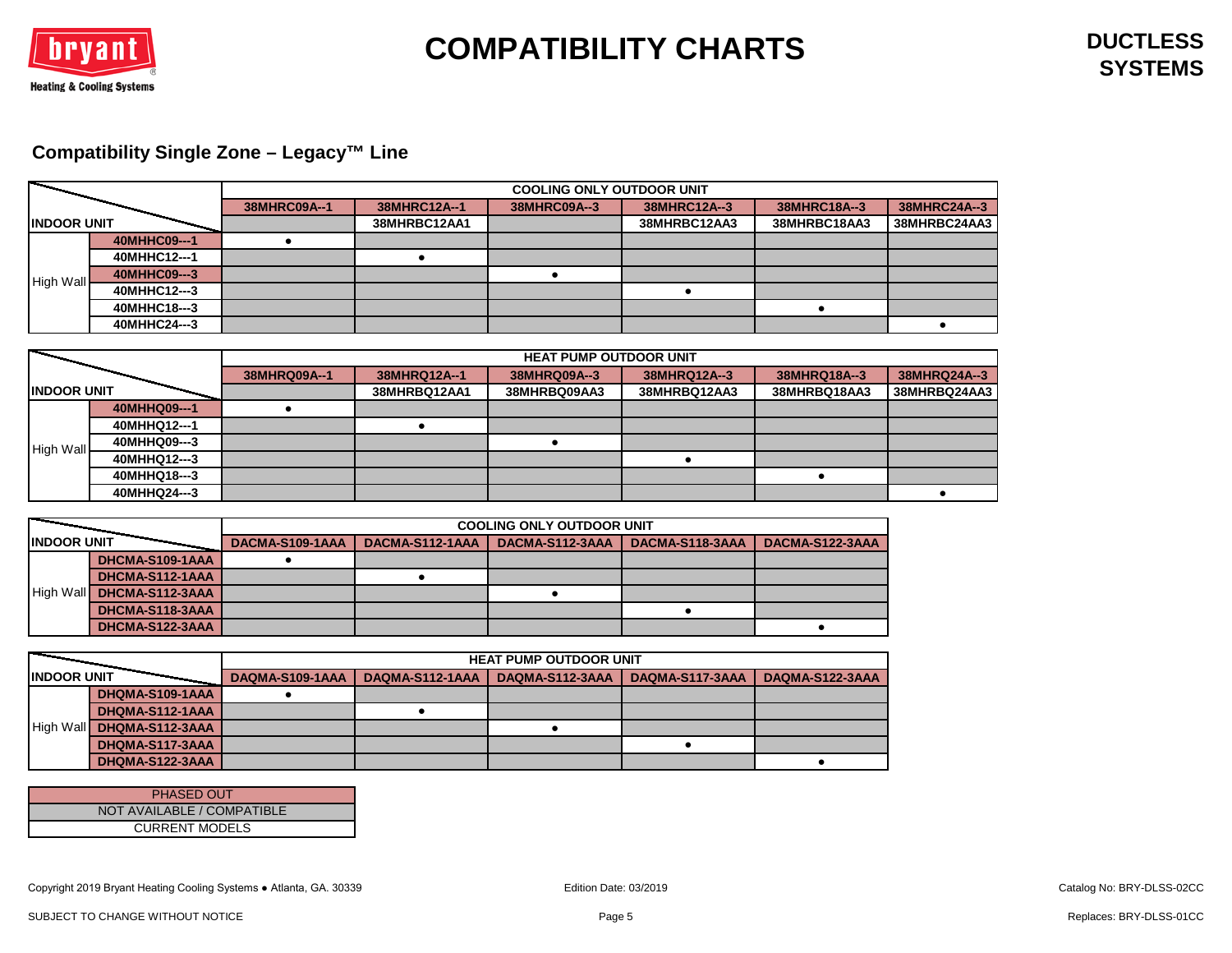

## <span id="page-4-0"></span>**Compatibility Single Zone – Legacy™ Line**

|                    |              |              |              | <b>COOLING ONLY OUTDOOR UNIT</b> |              |              |              |
|--------------------|--------------|--------------|--------------|----------------------------------|--------------|--------------|--------------|
|                    |              | 38MHRC09A--1 | 38MHRC12A--1 | 38MHRC09A--3                     | 38MHRC12A--3 | 38MHRC18A--3 | 38MHRC24A--3 |
| <b>INDOOR UNIT</b> |              |              | 38MHRBC12AA1 |                                  | 38MHRBC12AA3 | 38MHRBC18AA3 | 38MHRBC24AA3 |
|                    | 40MHHC09---1 |              |              |                                  |              |              |              |
|                    | 40MHHC12---1 |              |              |                                  |              |              |              |
| <b>High Wall</b>   | 40MHHC09---3 |              |              |                                  |              |              |              |
|                    | 40MHHC12---3 |              |              |                                  |              |              |              |
|                    | 40MHHC18---3 |              |              |                                  |              |              |              |
|                    | 40MHHC24---3 |              |              |                                  |              |              |              |

|                     |              | <b>HEAT PUMP OUTDOOR UNIT</b> |              |              |              |              |              |  |  |
|---------------------|--------------|-------------------------------|--------------|--------------|--------------|--------------|--------------|--|--|
|                     |              | 38MHRQ09A--1                  | 38MHRQ12A--1 | 38MHRQ09A--3 | 38MHRQ12A--3 | 38MHRQ18A--3 | 38MHRQ24A--3 |  |  |
| <b>IINDOOR UNIT</b> |              |                               | 38MHRBQ12AA1 | 38MHRBQ09AA3 | 38MHRBQ12AA3 | 38MHRBQ18AA3 | 38MHRBQ24AA3 |  |  |
|                     | 40MHHQ09---1 |                               |              |              |              |              |              |  |  |
|                     | 40MHHQ12---1 |                               |              |              |              |              |              |  |  |
| <b>High Wall</b>    | 40MHHQ09---3 |                               |              |              |              |              |              |  |  |
|                     | 40MHHQ12---3 |                               |              |              |              |              |              |  |  |
|                     | 40MHHQ18---3 |                               |              |              |              |              |              |  |  |
|                     | 40MHHQ24---3 |                               |              |              |              |              |              |  |  |

|                    |                 | <b>COOLING ONLY OUTDOOR UNIT</b> |                 |                 |                 |                 |  |  |  |  |
|--------------------|-----------------|----------------------------------|-----------------|-----------------|-----------------|-----------------|--|--|--|--|
| <b>INDOOR UNIT</b> |                 | DACMA-S109-1AAA                  | DACMA-S112-1AAA | DACMA-S112-3AAA | DACMA-S118-3AAA | DACMA-S122-3AAA |  |  |  |  |
|                    | DHCMA-S109-1AAA |                                  |                 |                 |                 |                 |  |  |  |  |
|                    | DHCMA-S112-1AAA |                                  |                 |                 |                 |                 |  |  |  |  |
| <b>High Wall</b>   | DHCMA-S112-3AAA |                                  |                 |                 |                 |                 |  |  |  |  |
|                    | DHCMA-S118-3AAA |                                  |                 |                 |                 |                 |  |  |  |  |
|                    | DHCMA-S122-3AAA |                                  |                 |                 |                 |                 |  |  |  |  |

|                     |                 | <b>HEAT PUMP OUTDOOR UNIT</b> |                 |                 |                 |                 |  |  |  |  |
|---------------------|-----------------|-------------------------------|-----------------|-----------------|-----------------|-----------------|--|--|--|--|
| <b>IINDOOR UNIT</b> |                 | DAQMA-S109-1AAA               | DAQMA-S112-1AAA | DAQMA-S112-3AAA | DAQMA-S117-3AAA | DAQMA-S122-3AAA |  |  |  |  |
|                     | DHQMA-S109-1AAA |                               |                 |                 |                 |                 |  |  |  |  |
|                     | DHQMA-S112-1AAA |                               |                 |                 |                 |                 |  |  |  |  |
| <b>High Wall</b>    | DHQMA-S112-3AAA |                               |                 |                 |                 |                 |  |  |  |  |
|                     | DHQMA-S117-3AAA |                               |                 |                 |                 |                 |  |  |  |  |
|                     | DHQMA-S122-3AAA |                               |                 |                 |                 |                 |  |  |  |  |

| <b>PHASED OUT</b>          |
|----------------------------|
| NOT AVAILABLE / COMPATIBLE |
| <b>CURRENT MODELS</b>      |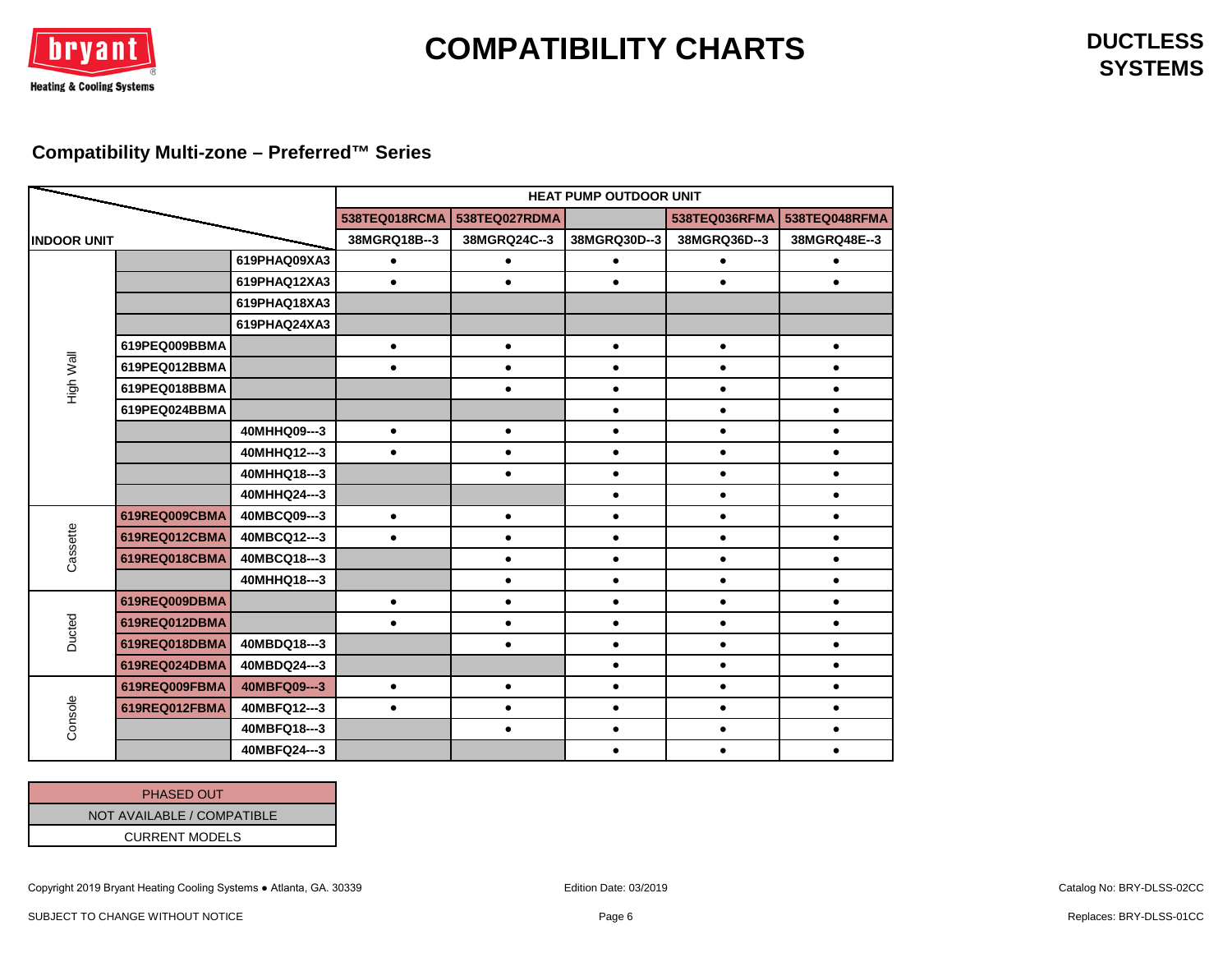

**SYSTEMS**

### <span id="page-5-0"></span>**Compatibility Multi-zone – Preferred™ Series**

|                    |               |              | <b>HEAT PUMP OUTDOOR UNIT</b> |               |              |               |               |  |  |
|--------------------|---------------|--------------|-------------------------------|---------------|--------------|---------------|---------------|--|--|
|                    |               |              | 538TEQ018RCMA                 | 538TEQ027RDMA |              | 538TEQ036RFMA | 538TEQ048RFMA |  |  |
| <b>INDOOR UNIT</b> |               | 38MGRQ18B--3 | 38MGRQ24C--3                  | 38MGRQ30D--3  | 38MGRQ36D--3 | 38MGRQ48E--3  |               |  |  |
|                    |               | 619PHAQ09XA3 | $\bullet$                     | $\bullet$     | $\bullet$    | $\bullet$     | $\bullet$     |  |  |
|                    |               | 619PHAQ12XA3 | $\bullet$                     | $\bullet$     | $\bullet$    | $\bullet$     | $\bullet$     |  |  |
|                    |               | 619PHAQ18XA3 |                               |               |              |               |               |  |  |
|                    |               | 619PHAQ24XA3 |                               |               |              |               |               |  |  |
|                    | 619PEQ009BBMA |              | $\bullet$                     | $\bullet$     | $\bullet$    | $\bullet$     | $\bullet$     |  |  |
| High Wall          | 619PEQ012BBMA |              | $\bullet$                     | $\bullet$     | $\bullet$    | $\bullet$     | $\bullet$     |  |  |
|                    | 619PEQ018BBMA |              |                               | $\bullet$     | $\bullet$    | $\bullet$     | $\bullet$     |  |  |
|                    | 619PEQ024BBMA |              |                               |               | $\bullet$    | $\bullet$     | $\bullet$     |  |  |
|                    |               | 40MHHQ09---3 | $\bullet$                     | $\bullet$     | $\bullet$    | $\bullet$     | $\bullet$     |  |  |
|                    |               | 40MHHQ12---3 | $\bullet$                     | $\bullet$     | $\bullet$    | $\bullet$     | $\bullet$     |  |  |
|                    |               | 40MHHQ18---3 |                               | $\bullet$     | $\bullet$    | $\bullet$     | $\bullet$     |  |  |
|                    |               | 40MHHQ24---3 |                               |               | $\bullet$    | $\bullet$     | $\bullet$     |  |  |
|                    | 619REQ009CBMA | 40MBCQ09---3 | $\bullet$                     | $\bullet$     | $\bullet$    | $\bullet$     | $\bullet$     |  |  |
| Cassette           | 619REQ012CBMA | 40MBCQ12---3 | $\bullet$                     | $\bullet$     | $\bullet$    | $\bullet$     | $\bullet$     |  |  |
|                    | 619REQ018CBMA | 40MBCQ18---3 |                               | $\bullet$     | $\bullet$    | $\bullet$     | $\bullet$     |  |  |
|                    |               | 40MHHQ18---3 |                               | $\bullet$     | $\bullet$    | $\bullet$     | $\bullet$     |  |  |
|                    | 619REQ009DBMA |              | $\bullet$                     | $\bullet$     | $\bullet$    | $\bullet$     | $\bullet$     |  |  |
| Ducted             | 619REQ012DBMA |              | $\bullet$                     | $\bullet$     | $\bullet$    | $\bullet$     | $\bullet$     |  |  |
|                    | 619REQ018DBMA | 40MBDQ18---3 |                               | $\bullet$     | $\bullet$    | $\bullet$     | $\bullet$     |  |  |
|                    | 619REQ024DBMA | 40MBDQ24---3 |                               |               | $\bullet$    | $\bullet$     | $\bullet$     |  |  |
|                    | 619REQ009FBMA | 40MBFQ09---3 | $\bullet$                     | $\bullet$     | $\bullet$    | $\bullet$     | $\bullet$     |  |  |
|                    | 619REQ012FBMA | 40MBFQ12---3 | $\bullet$                     | $\bullet$     | $\bullet$    | $\bullet$     | $\bullet$     |  |  |
| Console            |               | 40MBFQ18---3 |                               | $\bullet$     | $\bullet$    | $\bullet$     | $\bullet$     |  |  |
|                    |               | 40MBFQ24---3 |                               |               | $\bullet$    | $\bullet$     | $\bullet$     |  |  |

| <b>PHASED OUT</b>          |
|----------------------------|
| NOT AVAILABLE / COMPATIBLE |
| <b>CURRENT MODELS</b>      |